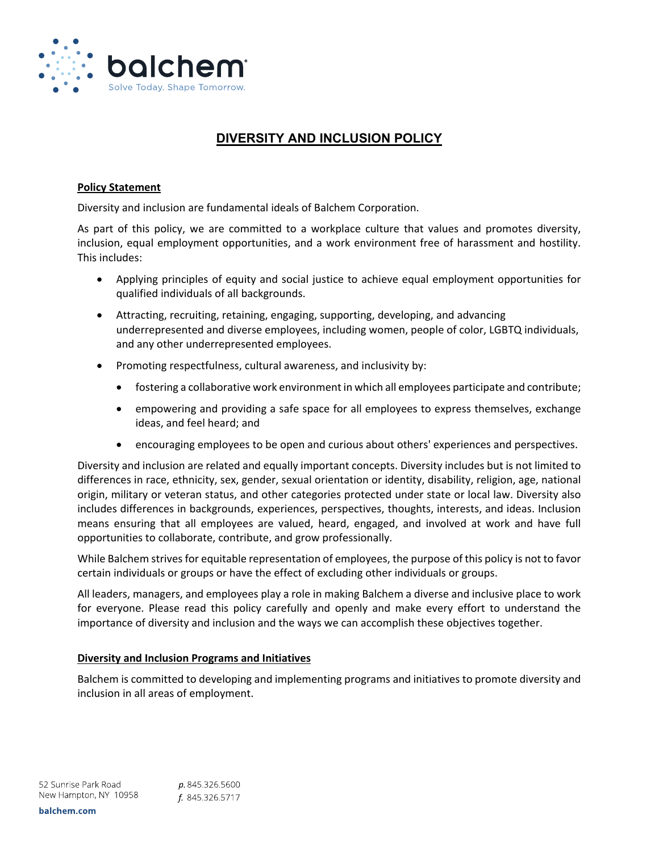

# **DIVERSITY AND INCLUSION POLICY**

### **Policy Statement**

Diversity and inclusion are fundamental ideals of Balchem Corporation.

As part of this policy, we are committed to a workplace culture that values and promotes diversity, inclusion, equal employment opportunities, and a work environment free of harassment and hostility. This includes:

- Applying principles of equity and social justice to achieve equal employment opportunities for qualified individuals of all backgrounds.
- Attracting, recruiting, retaining, engaging, supporting, developing, and advancing underrepresented and diverse employees, including women, people of color, LGBTQ individuals, and any other underrepresented employees.
- Promoting respectfulness, cultural awareness, and inclusivity by:
	- fostering a collaborative work environment in which all employees participate and contribute;
	- empowering and providing a safe space for all employees to express themselves, exchange ideas, and feel heard; and
	- encouraging employees to be open and curious about others' experiences and perspectives.

Diversity and inclusion are related and equally important concepts. Diversity includes but is not limited to differences in race, ethnicity, sex, gender, sexual orientation or identity, disability, religion, age, national origin, military or veteran status, and other categories protected under state or local law. Diversity also includes differences in backgrounds, experiences, perspectives, thoughts, interests, and ideas. Inclusion means ensuring that all employees are valued, heard, engaged, and involved at work and have full opportunities to collaborate, contribute, and grow professionally.

While Balchem strives for equitable representation of employees, the purpose of this policy is not to favor certain individuals or groups or have the effect of excluding other individuals or groups.

All leaders, managers, and employees play a role in making Balchem a diverse and inclusive place to work for everyone. Please read this policy carefully and openly and make every effort to understand the importance of diversity and inclusion and the ways we can accomplish these objectives together.

### **Diversity and Inclusion Programs and Initiatives**

Balchem is committed to developing and implementing programs and initiatives to promote diversity and inclusion in all areas of employment.